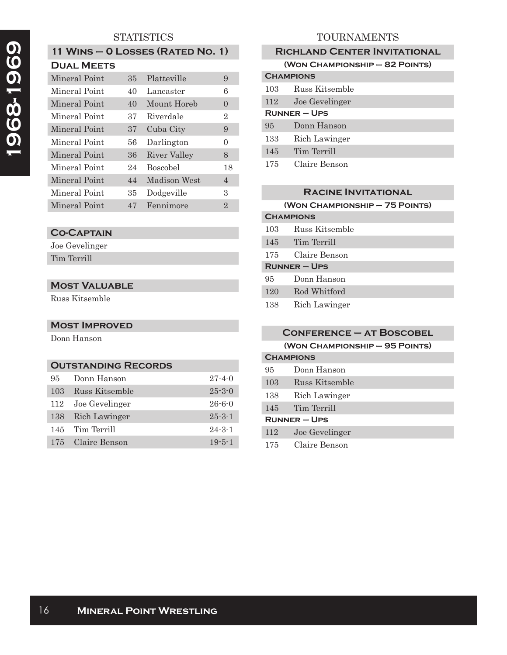# **STATISTICS**

| 11 WINS - 0 LOSSES (RATED NO. 1) |  |  |
|----------------------------------|--|--|
| <b>DUAL MEETS</b>                |  |  |

| Mineral Point | 35 | Platteville     | 9              |
|---------------|----|-----------------|----------------|
| Mineral Point | 40 | Lancaster       | 6              |
| Mineral Point | 40 | Mount Horeb     | $\Omega$       |
| Mineral Point | 37 | Riverdale       | 2              |
| Mineral Point | 37 | Cuba City       | 9              |
| Mineral Point | 56 | Darlington      | $\theta$       |
| Mineral Point | 36 | River Valley    | 8              |
| Mineral Point | 24 | <b>Boscobel</b> | 18             |
| Mineral Point | 44 | Madison West    | $\overline{4}$ |
| Mineral Point | 35 | Dodgeville      | 3              |
| Mineral Point | 47 | Fennimore       | $\overline{2}$ |

# **Co-Captain**

Joe Gevelinger Tim Terrill

# **Most Valuable**

Russ Kitsemble

**Most Improved** Donn Hanson

## **Outstanding Records**

| 95  | Donn Hanson       | $27 - 4 - 0$ |
|-----|-------------------|--------------|
| 103 | Russ Kitsemble    | $25 - 3 - 0$ |
| 112 | Joe Gevelinger    | $26 - 6 - 0$ |
| 138 | Rich Lawinger     | $25 - 3 - 1$ |
| 145 | Tim Terrill       | $24 - 3 - 1$ |
|     | 175 Claire Benson | $19 - 5 - 1$ |

# TOURNAMENTS

| <b>RICHLAND CENTER INVITATIONAL</b> |                                |  |
|-------------------------------------|--------------------------------|--|
|                                     | (WON CHAMPIONSHIP - 82 POINTS) |  |
| <b>CHAMPIONS</b>                    |                                |  |
| 103                                 | Russ Kitsemble                 |  |
| 112                                 | Joe Gevelinger                 |  |
| <b>RUNNER – UPS</b>                 |                                |  |
| 95                                  | Donn Hanson                    |  |
| 133                                 | Rich Lawinger                  |  |
| 145                                 | Tim Terrill                    |  |
| 175                                 | Claire Benson                  |  |

## **Racine Invitational**

**(Won Championship – 75 Points)**

| <b>CHAMPIONS</b>  |                |
|-------------------|----------------|
| 103               | Russ Kitsemble |
| 145               | Tim Terrill    |
| 175               | Claire Benson  |
| <b>RUNNER-UPS</b> |                |
| 95                | Donn Hanson    |
| 120               | Rod Whitford   |
| 138               | Rich Lawinger  |

| <b>CONFERENCE - AT BOSCOBEL</b> |                                |
|---------------------------------|--------------------------------|
|                                 | (WON CHAMPIONSHIP - 95 POINTS) |
|                                 | <b>CHAMPIONS</b>               |
| 95.                             | Donn Hanson                    |
| 103                             | Russ Kitsemble                 |
| 138                             | Rich Lawinger                  |
| 145                             | Tim Terrill                    |
| <b>RUNNER - UPS</b>             |                                |
| 112                             | Joe Gevelinger                 |
| 175                             | Claire Benson                  |